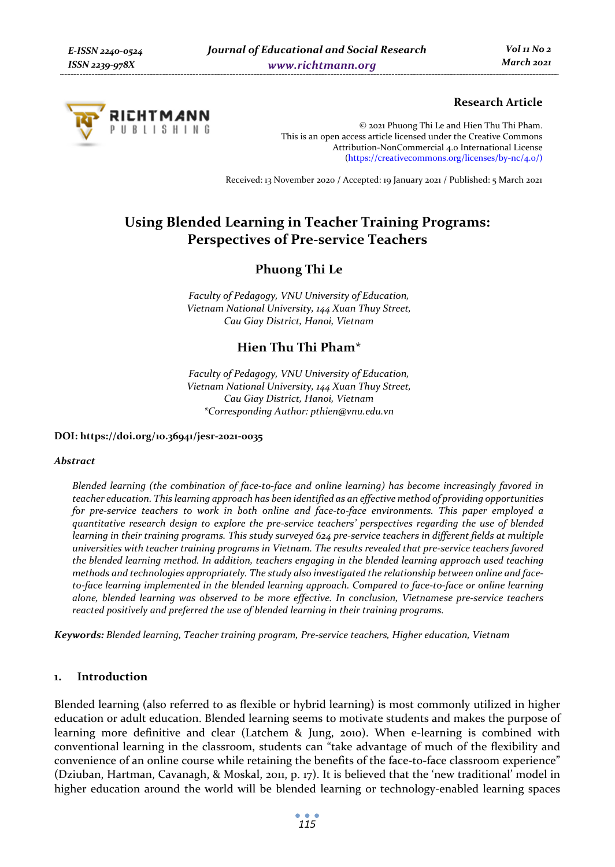

# **Research Article**

© 2021 Phuong Thi Le and Hien Thu Thi Pham. This is an open access article licensed under the Creative Commons Attribution-NonCommercial 4.0 International License (https://creativecommons.org/licenses/by-nc/4.0/)

Received: 13 November 2020 / Accepted: 19 January 2021 / Published: 5 March 2021

# **Using Blended Learning in Teacher Training Programs: Perspectives of Pre-service Teachers**

# **Phuong Thi Le**

*Faculty of Pedagogy, VNU University of Education, Vietnam National University, 144 Xuan Thuy Street, Cau Giay District, Hanoi, Vietnam* 

# **Hien Thu Thi Pham\***

*Faculty of Pedagogy, VNU University of Education, Vietnam National University, 144 Xuan Thuy Street, Cau Giay District, Hanoi, Vietnam \*Corresponding Author: pthien@vnu.edu.vn* 

**DOI: https://doi.org/10.36941/jesr-2021-0035** 

#### *Abstract*

*Blended learning (the combination of face-to-face and online learning) has become increasingly favored in teacher education. This learning approach has been identified as an effective method of providing opportunities for pre-service teachers to work in both online and face-to-face environments. This paper employed a quantitative research design to explore the pre-service teachers' perspectives regarding the use of blended learning in their training programs. This study surveyed 624 pre-service teachers in different fields at multiple universities with teacher training programs in Vietnam. The results revealed that pre-service teachers favored the blended learning method. In addition, teachers engaging in the blended learning approach used teaching methods and technologies appropriately. The study also investigated the relationship between online and face*to-face learning implemented in the blended learning approach. Compared to face-to-face or online learning *alone, blended learning was observed to be more effective. In conclusion, Vietnamese pre-service teachers reacted positively and preferred the use of blended learning in their training programs.* 

*Keywords: Blended learning, Teacher training program, Pre-service teachers, Higher education, Vietnam* 

### **1. Introduction**

Blended learning (also referred to as flexible or hybrid learning) is most commonly utilized in higher education or adult education. Blended learning seems to motivate students and makes the purpose of learning more definitive and clear (Latchem & Jung, 2010). When e-learning is combined with conventional learning in the classroom, students can "take advantage of much of the flexibility and convenience of an online course while retaining the benefits of the face-to-face classroom experience" (Dziuban, Hartman, Cavanagh, & Moskal, 2011, p. 17). It is believed that the 'new traditional' model in higher education around the world will be blended learning or technology-enabled learning spaces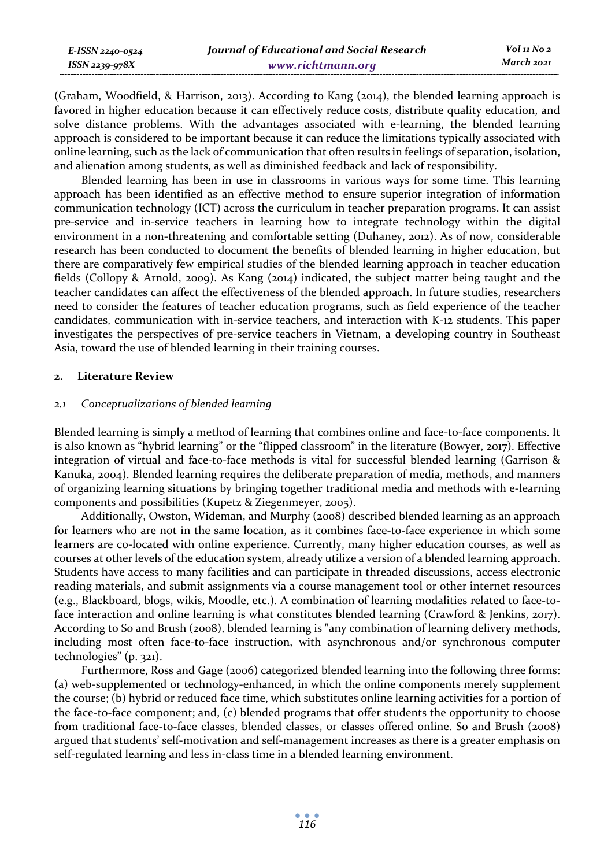| E-ISSN 2240-0524 | Journal of Educational and Social Research | Vol 11 No 2 |
|------------------|--------------------------------------------|-------------|
| ISSN 2239-978X   | www.richtmann.org                          | March 2021  |

(Graham, Woodfield, & Harrison, 2013). According to Kang (2014), the blended learning approach is favored in higher education because it can effectively reduce costs, distribute quality education, and solve distance problems. With the advantages associated with e-learning, the blended learning approach is considered to be important because it can reduce the limitations typically associated with online learning, such as the lack of communication that often results in feelings of separation, isolation, and alienation among students, as well as diminished feedback and lack of responsibility.

Blended learning has been in use in classrooms in various ways for some time. This learning approach has been identified as an effective method to ensure superior integration of information communication technology (ICT) across the curriculum in teacher preparation programs. It can assist pre-service and in-service teachers in learning how to integrate technology within the digital environment in a non-threatening and comfortable setting (Duhaney, 2012). As of now, considerable research has been conducted to document the benefits of blended learning in higher education, but there are comparatively few empirical studies of the blended learning approach in teacher education fields (Collopy & Arnold, 2009). As Kang (2014) indicated, the subject matter being taught and the teacher candidates can affect the effectiveness of the blended approach. In future studies, researchers need to consider the features of teacher education programs, such as field experience of the teacher candidates, communication with in-service teachers, and interaction with K-12 students. This paper investigates the perspectives of pre-service teachers in Vietnam, a developing country in Southeast Asia, toward the use of blended learning in their training courses.

#### **2. Literature Review**

#### *2.1 Conceptualizations of blended learning*

Blended learning is simply a method of learning that combines online and face-to-face components. It is also known as "hybrid learning" or the "flipped classroom" in the literature (Bowyer, 2017). Effective integration of virtual and face-to-face methods is vital for successful blended learning (Garrison & Kanuka, 2004). Blended learning requires the deliberate preparation of media, methods, and manners of organizing learning situations by bringing together traditional media and methods with e-learning components and possibilities (Kupetz & Ziegenmeyer, 2005).

Additionally, Owston, Wideman, and Murphy (2008) described blended learning as an approach for learners who are not in the same location, as it combines face-to-face experience in which some learners are co-located with online experience. Currently, many higher education courses, as well as courses at other levels of the education system, already utilize a version of a blended learning approach. Students have access to many facilities and can participate in threaded discussions, access electronic reading materials, and submit assignments via a course management tool or other internet resources (e.g., Blackboard, blogs, wikis, Moodle, etc.). A combination of learning modalities related to face-toface interaction and online learning is what constitutes blended learning (Crawford & Jenkins, 2017). According to So and Brush (2008), blended learning is "any combination of learning delivery methods, including most often face-to-face instruction, with asynchronous and/or synchronous computer technologies" (p. 321).

Furthermore, Ross and Gage (2006) categorized blended learning into the following three forms: (a) web-supplemented or technology-enhanced, in which the online components merely supplement the course; (b) hybrid or reduced face time, which substitutes online learning activities for a portion of the face-to-face component; and, (c) blended programs that offer students the opportunity to choose from traditional face-to-face classes, blended classes, or classes offered online. So and Brush (2008) argued that students' self-motivation and self-management increases as there is a greater emphasis on self-regulated learning and less in-class time in a blended learning environment.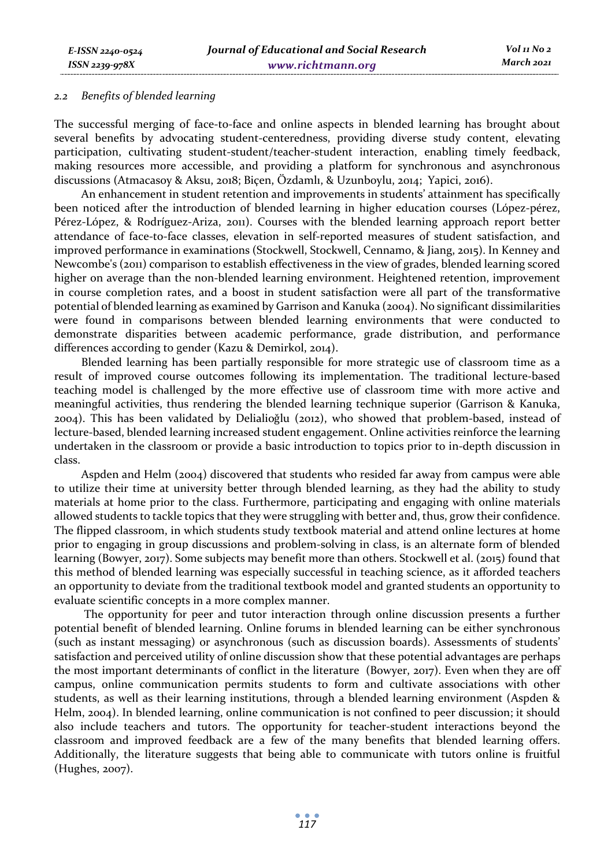*E-ISSN 2240-0524 ISSN 2239-978X*

#### *2.2 Benefits of blended learning*

The successful merging of face-to-face and online aspects in blended learning has brought about several benefits by advocating student-centeredness, providing diverse study content, elevating participation, cultivating student-student/teacher-student interaction, enabling timely feedback, making resources more accessible, and providing a platform for synchronous and asynchronous discussions (Atmacasoy & Aksu, 2018; Biçen, Özdamlı, & Uzunboylu, 2014; Yapici, 2016).

An enhancement in student retention and improvements in students' attainment has specifically been noticed after the introduction of blended learning in higher education courses (López-pérez, Pérez-López, & Rodríguez-Ariza, 2011). Courses with the blended learning approach report better attendance of face-to-face classes, elevation in self-reported measures of student satisfaction, and improved performance in examinations (Stockwell, Stockwell, Cennamo, & Jiang, 2015). In Kenney and Newcombe's (2011) comparison to establish effectiveness in the view of grades, blended learning scored higher on average than the non-blended learning environment. Heightened retention, improvement in course completion rates, and a boost in student satisfaction were all part of the transformative potential of blended learning as examined by Garrison and Kanuka (2004). No significant dissimilarities were found in comparisons between blended learning environments that were conducted to demonstrate disparities between academic performance, grade distribution, and performance differences according to gender (Kazu & Demirkol, 2014).

Blended learning has been partially responsible for more strategic use of classroom time as a result of improved course outcomes following its implementation. The traditional lecture-based teaching model is challenged by the more effective use of classroom time with more active and meaningful activities, thus rendering the blended learning technique superior (Garrison & Kanuka, 2004). This has been validated by Delialioǧlu (2012), who showed that problem-based, instead of lecture-based, blended learning increased student engagement. Online activities reinforce the learning undertaken in the classroom or provide a basic introduction to topics prior to in-depth discussion in class.

Aspden and Helm (2004) discovered that students who resided far away from campus were able to utilize their time at university better through blended learning, as they had the ability to study materials at home prior to the class. Furthermore, participating and engaging with online materials allowed students to tackle topics that they were struggling with better and, thus, grow their confidence. The flipped classroom, in which students study textbook material and attend online lectures at home prior to engaging in group discussions and problem-solving in class, is an alternate form of blended learning (Bowyer, 2017). Some subjects may benefit more than others. Stockwell et al. (2015) found that this method of blended learning was especially successful in teaching science, as it afforded teachers an opportunity to deviate from the traditional textbook model and granted students an opportunity to evaluate scientific concepts in a more complex manner.

 The opportunity for peer and tutor interaction through online discussion presents a further potential benefit of blended learning. Online forums in blended learning can be either synchronous (such as instant messaging) or asynchronous (such as discussion boards). Assessments of students' satisfaction and perceived utility of online discussion show that these potential advantages are perhaps the most important determinants of conflict in the literature (Bowyer, 2017). Even when they are off campus, online communication permits students to form and cultivate associations with other students, as well as their learning institutions, through a blended learning environment (Aspden & Helm, 2004). In blended learning, online communication is not confined to peer discussion; it should also include teachers and tutors. The opportunity for teacher-student interactions beyond the classroom and improved feedback are a few of the many benefits that blended learning offers. Additionally, the literature suggests that being able to communicate with tutors online is fruitful (Hughes, 2007).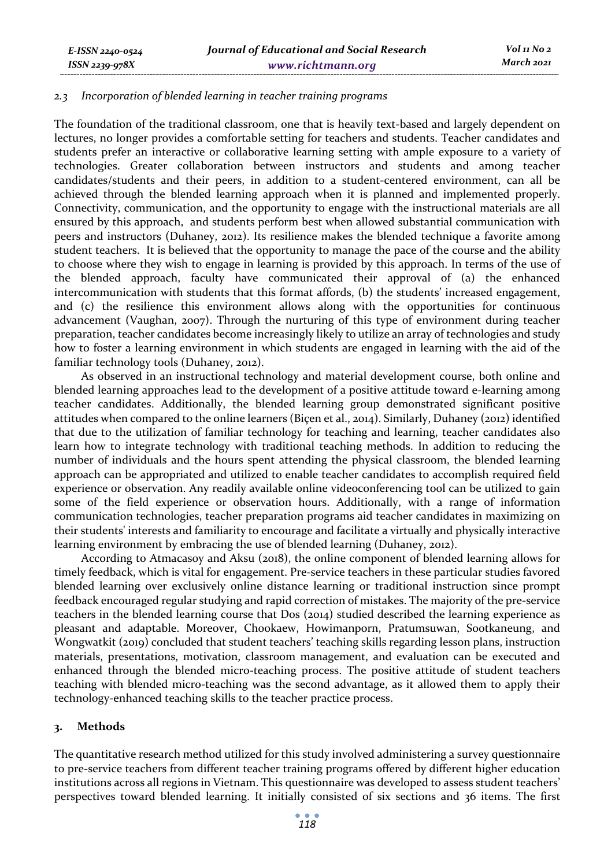#### *2.3 Incorporation of blended learning in teacher training programs*

The foundation of the traditional classroom, one that is heavily text-based and largely dependent on lectures, no longer provides a comfortable setting for teachers and students. Teacher candidates and students prefer an interactive or collaborative learning setting with ample exposure to a variety of technologies. Greater collaboration between instructors and students and among teacher candidates/students and their peers, in addition to a student-centered environment, can all be achieved through the blended learning approach when it is planned and implemented properly. Connectivity, communication, and the opportunity to engage with the instructional materials are all ensured by this approach, and students perform best when allowed substantial communication with peers and instructors (Duhaney, 2012). Its resilience makes the blended technique a favorite among student teachers. It is believed that the opportunity to manage the pace of the course and the ability to choose where they wish to engage in learning is provided by this approach. In terms of the use of the blended approach, faculty have communicated their approval of (a) the enhanced intercommunication with students that this format affords, (b) the students' increased engagement, and (c) the resilience this environment allows along with the opportunities for continuous advancement (Vaughan, 2007). Through the nurturing of this type of environment during teacher preparation, teacher candidates become increasingly likely to utilize an array of technologies and study how to foster a learning environment in which students are engaged in learning with the aid of the familiar technology tools (Duhaney, 2012).

As observed in an instructional technology and material development course, both online and blended learning approaches lead to the development of a positive attitude toward e-learning among teacher candidates. Additionally, the blended learning group demonstrated significant positive attitudes when compared to the online learners (Biçen et al., 2014). Similarly, Duhaney (2012) identified that due to the utilization of familiar technology for teaching and learning, teacher candidates also learn how to integrate technology with traditional teaching methods. In addition to reducing the number of individuals and the hours spent attending the physical classroom, the blended learning approach can be appropriated and utilized to enable teacher candidates to accomplish required field experience or observation. Any readily available online videoconferencing tool can be utilized to gain some of the field experience or observation hours. Additionally, with a range of information communication technologies, teacher preparation programs aid teacher candidates in maximizing on their students' interests and familiarity to encourage and facilitate a virtually and physically interactive learning environment by embracing the use of blended learning (Duhaney, 2012).

According to Atmacasoy and Aksu (2018), the online component of blended learning allows for timely feedback, which is vital for engagement. Pre-service teachers in these particular studies favored blended learning over exclusively online distance learning or traditional instruction since prompt feedback encouraged regular studying and rapid correction of mistakes. The majority of the pre-service teachers in the blended learning course that Dos (2014) studied described the learning experience as pleasant and adaptable. Moreover, Chookaew, Howimanporn, Pratumsuwan, Sootkaneung, and Wongwatkit (2019) concluded that student teachers' teaching skills regarding lesson plans, instruction materials, presentations, motivation, classroom management, and evaluation can be executed and enhanced through the blended micro-teaching process. The positive attitude of student teachers teaching with blended micro-teaching was the second advantage, as it allowed them to apply their technology-enhanced teaching skills to the teacher practice process.

#### **3. Methods**

The quantitative research method utilized for this study involved administering a survey questionnaire to pre-service teachers from different teacher training programs offered by different higher education institutions across all regions in Vietnam. This questionnaire was developed to assess student teachers' perspectives toward blended learning. It initially consisted of six sections and 36 items. The first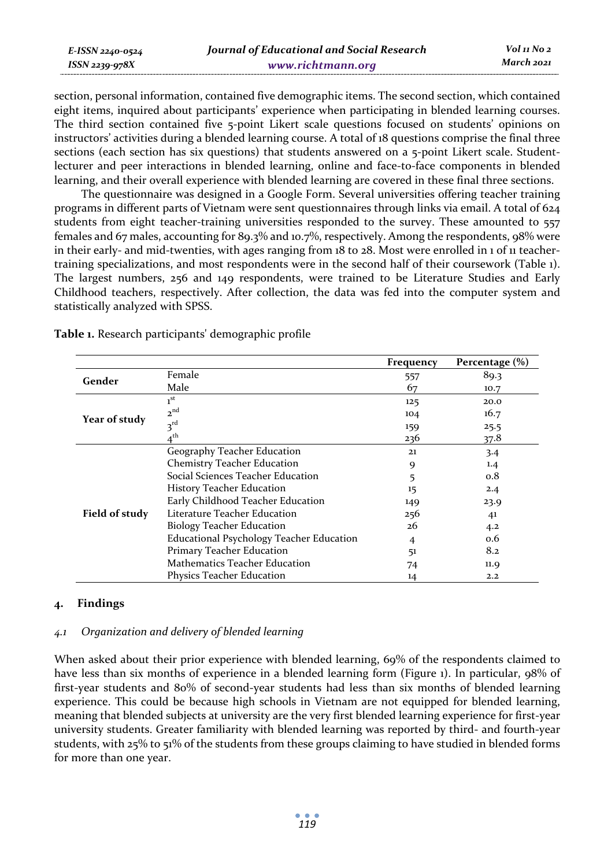| E-ISSN 2240-0524 | Journal of Educational and Social Research | Vol 11 No 2 |
|------------------|--------------------------------------------|-------------|
| ISSN 2239-978X   | www.richtmann.org                          | March 2021  |

section, personal information, contained five demographic items. The second section, which contained eight items, inquired about participants' experience when participating in blended learning courses. The third section contained five 5-point Likert scale questions focused on students' opinions on instructors' activities during a blended learning course. A total of 18 questions comprise the final three sections (each section has six questions) that students answered on a 5-point Likert scale. Studentlecturer and peer interactions in blended learning, online and face-to-face components in blended learning, and their overall experience with blended learning are covered in these final three sections.

The questionnaire was designed in a Google Form. Several universities offering teacher training programs in different parts of Vietnam were sent questionnaires through links via email. A total of 624 students from eight teacher-training universities responded to the survey. These amounted to 557 females and 67 males, accounting for 89.3% and 10.7%, respectively. Among the respondents, 98% were in their early- and mid-twenties, with ages ranging from 18 to 28. Most were enrolled in 1 of 11 teachertraining specializations, and most respondents were in the second half of their coursework (Table 1). The largest numbers, 256 and 149 respondents, were trained to be Literature Studies and Early Childhood teachers, respectively. After collection, the data was fed into the computer system and statistically analyzed with SPSS.

|                |                                          | Frequency | Percentage $(\% )$ |
|----------------|------------------------------------------|-----------|--------------------|
| Gender         | Female                                   | 557       | 89.3               |
|                | Male                                     | 67        | 10.7               |
|                | 1 <sup>st</sup>                          | 125       | 20.0               |
| Year of study  | 2 <sup>nd</sup>                          | 104       | 16.7               |
|                | $3^{rd}$                                 | 159       | 25.5               |
|                | . th                                     | 236       | 37.8               |
|                | Geography Teacher Education              | 21        | 3.4                |
|                | <b>Chemistry Teacher Education</b>       | 9         | 1.4                |
|                | Social Sciences Teacher Education        | 5         | 0.8                |
|                | <b>History Teacher Education</b>         | 15        | 2.4                |
|                | Early Childhood Teacher Education        | 149       | 23.9               |
| Field of study | Literature Teacher Education             | 256       | 41                 |
|                | <b>Biology Teacher Education</b>         | 26        | 4.2                |
|                | Educational Psychology Teacher Education | 4         | 0.6                |
|                | Primary Teacher Education                | 51        | 8.2                |
|                | Mathematics Teacher Education            | 74        | 11.9               |
|                | Physics Teacher Education                | 14        | 2.2                |

**Table 1.** Research participants' demographic profile

# **4. Findings**

#### *4.1 Organization and delivery of blended learning*

When asked about their prior experience with blended learning, 69% of the respondents claimed to have less than six months of experience in a blended learning form (Figure 1). In particular, 98% of first-year students and 80% of second-year students had less than six months of blended learning experience. This could be because high schools in Vietnam are not equipped for blended learning, meaning that blended subjects at university are the very first blended learning experience for first-year university students. Greater familiarity with blended learning was reported by third- and fourth-year students, with 25% to 51% of the students from these groups claiming to have studied in blended forms for more than one year.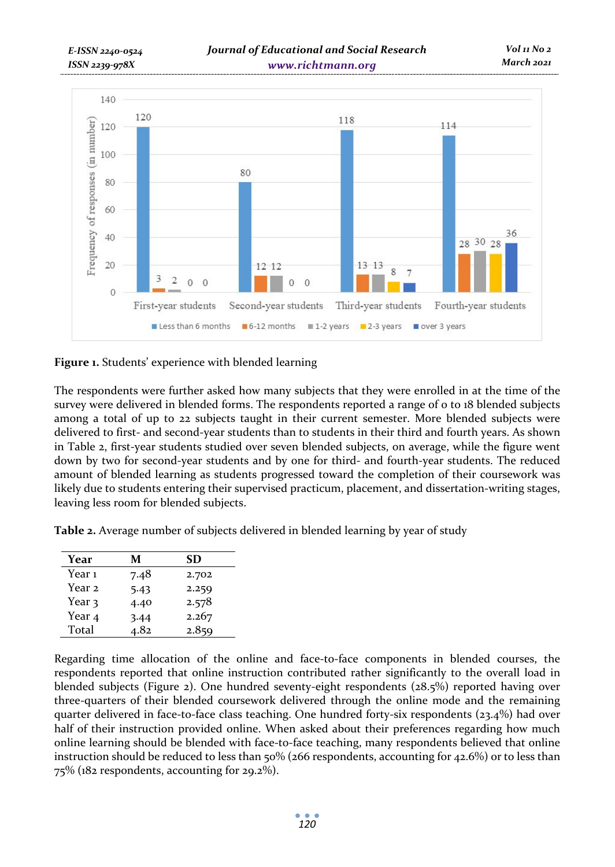

**Figure 1.** Students' experience with blended learning

The respondents were further asked how many subjects that they were enrolled in at the time of the survey were delivered in blended forms. The respondents reported a range of 0 to 18 blended subjects among a total of up to 22 subjects taught in their current semester. More blended subjects were delivered to first- and second-year students than to students in their third and fourth years. As shown in Table 2, first-year students studied over seven blended subjects, on average, while the figure went down by two for second-year students and by one for third- and fourth-year students. The reduced amount of blended learning as students progressed toward the completion of their coursework was likely due to students entering their supervised practicum, placement, and dissertation-writing stages, leaving less room for blended subjects.

**Table 2.** Average number of subjects delivered in blended learning by year of study

| Year              | м    | SD    |
|-------------------|------|-------|
| Year 1            | 7.48 | 2.702 |
| Year 2            | 5.43 | 2.259 |
| Year 3            | 4.40 | 2.578 |
| Year <sub>4</sub> | 3.44 | 2.267 |
| Total             | 4.82 | 2.859 |

Regarding time allocation of the online and face-to-face components in blended courses, the respondents reported that online instruction contributed rather significantly to the overall load in blended subjects (Figure 2). One hundred seventy-eight respondents (28.5%) reported having over three-quarters of their blended coursework delivered through the online mode and the remaining quarter delivered in face-to-face class teaching. One hundred forty-six respondents (23.4%) had over half of their instruction provided online. When asked about their preferences regarding how much online learning should be blended with face-to-face teaching, many respondents believed that online instruction should be reduced to less than 50% (266 respondents, accounting for 42.6%) or to less than 75% (182 respondents, accounting for 29.2%).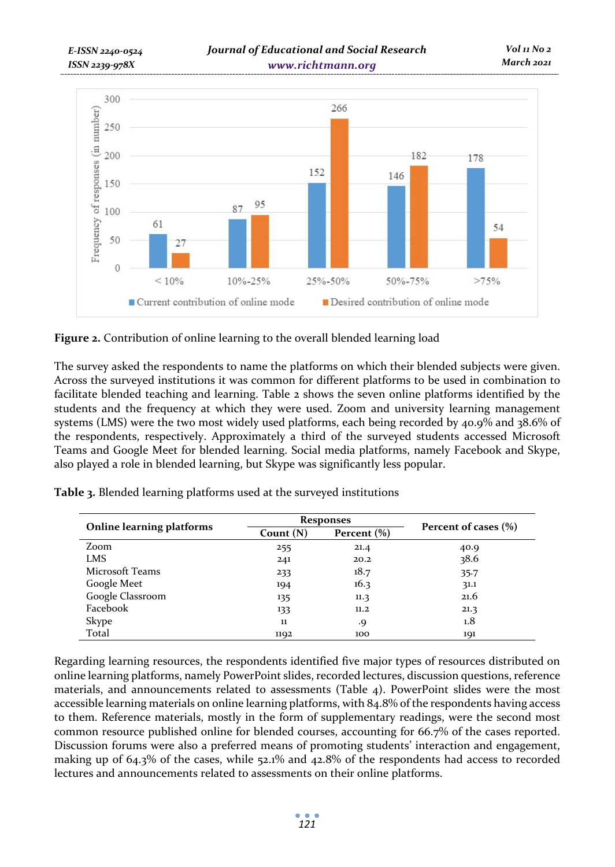

**Figure 2.** Contribution of online learning to the overall blended learning load

The survey asked the respondents to name the platforms on which their blended subjects were given. Across the surveyed institutions it was common for different platforms to be used in combination to facilitate blended teaching and learning. Table 2 shows the seven online platforms identified by the students and the frequency at which they were used. Zoom and university learning management systems (LMS) were the two most widely used platforms, each being recorded by 40.9% and 38.6% of the respondents, respectively. Approximately a third of the surveyed students accessed Microsoft Teams and Google Meet for blended learning. Social media platforms, namely Facebook and Skype, also played a role in blended learning, but Skype was significantly less popular.

|                           |                               | <b>Responses</b> | Percent of cases (%) |  |
|---------------------------|-------------------------------|------------------|----------------------|--|
| Online learning platforms | Percent $(\%)$<br>Count $(N)$ |                  |                      |  |
| Zoom                      | 255                           | 21.4             | 40.9                 |  |
| <b>LMS</b>                | 241                           | 20.2             | 38.6                 |  |
| Microsoft Teams           | 233                           | 18.7             | $35 - 7$             |  |
| Google Meet               | 194                           | 16.3             | 31.1                 |  |
| Google Classroom          | 135                           | 11.3             | 21.6                 |  |
| Facebook                  | 133                           | 11.2             | 21.3                 |  |
| <b>Skype</b>              | 11                            | .9               | 1.8                  |  |
| Total                     | 1192                          | 100              | 191                  |  |

**Table 3.** Blended learning platforms used at the surveyed institutions

Regarding learning resources, the respondents identified five major types of resources distributed on online learning platforms, namely PowerPoint slides, recorded lectures, discussion questions, reference materials, and announcements related to assessments (Table 4). PowerPoint slides were the most accessible learning materials on online learning platforms, with 84.8% of the respondents having access to them. Reference materials, mostly in the form of supplementary readings, were the second most common resource published online for blended courses, accounting for 66.7% of the cases reported. Discussion forums were also a preferred means of promoting students' interaction and engagement, making up of 64.3% of the cases, while 52.1% and 42.8% of the respondents had access to recorded lectures and announcements related to assessments on their online platforms.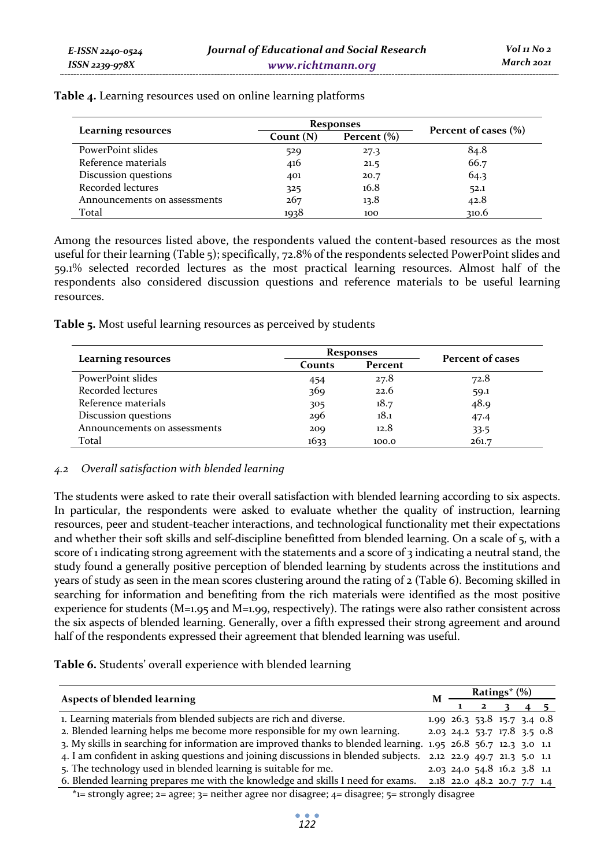|                              | <b>Responses</b> | Percent of cases (%) |       |
|------------------------------|------------------|----------------------|-------|
| <b>Learning resources</b>    | Count $(N)$      | Percent $(\% )$      |       |
| PowerPoint slides            | 529              | 27.3                 | 84.8  |
| Reference materials          | 416              | 21.5                 | 66.7  |
| Discussion questions         | 401              | 20.7                 | 64.3  |
| Recorded lectures            | 325              | 16.8                 | 52.1  |
| Announcements on assessments | 267              | 13.8                 | 42.8  |
| Total                        | 1938             | 100                  | 310.6 |

**Table 4.** Learning resources used on online learning platforms

Among the resources listed above, the respondents valued the content-based resources as the most useful for their learning (Table 5); specifically, 72.8% of the respondents selected PowerPoint slides and 59.1% selected recorded lectures as the most practical learning resources. Almost half of the respondents also considered discussion questions and reference materials to be useful learning resources.

**Table 5.** Most useful learning resources as perceived by students

|                              | <b>Responses</b> | Percent of cases |       |
|------------------------------|------------------|------------------|-------|
| <b>Learning resources</b>    | Counts           | Percent          |       |
| PowerPoint slides            | 454              | 27.8             | 72.8  |
| Recorded lectures            | 369              | 22.6             | 59.1  |
| Reference materials          | 305              | 18.7             | 48.9  |
| Discussion questions         | 296              | 18.1             | 47.4  |
| Announcements on assessments | 200              | 12.8             | 33.5  |
| Total                        | 1633             | 100.0            | 261.7 |

# *4.2 Overall satisfaction with blended learning*

The students were asked to rate their overall satisfaction with blended learning according to six aspects. In particular, the respondents were asked to evaluate whether the quality of instruction, learning resources, peer and student-teacher interactions, and technological functionality met their expectations and whether their soft skills and self-discipline benefitted from blended learning. On a scale of 5, with a score of 1 indicating strong agreement with the statements and a score of 3 indicating a neutral stand, the study found a generally positive perception of blended learning by students across the institutions and years of study as seen in the mean scores clustering around the rating of 2 (Table 6). Becoming skilled in searching for information and benefiting from the rich materials were identified as the most positive experience for students (M=1.95 and M=1.99, respectively). The ratings were also rather consistent across the six aspects of blended learning. Generally, over a fifth expressed their strong agreement and around half of the respondents expressed their agreement that blended learning was useful.

**Table 6.** Students' overall experience with blended learning

| <b>Aspects of blended learning</b>                                                                             |  | <b>Ratings</b> <sup>*</sup> $(\%)$ |                                         |  |  |  |
|----------------------------------------------------------------------------------------------------------------|--|------------------------------------|-----------------------------------------|--|--|--|
|                                                                                                                |  |                                    | $1 \t2 \t3 \t4 \t5$                     |  |  |  |
| 1. Learning materials from blended subjects are rich and diverse.                                              |  |                                    | $1.99$ $26.3$ $53.8$ $15.7$ $3.4$ $0.8$ |  |  |  |
| 2. Blended learning helps me become more responsible for my own learning.                                      |  |                                    | $2.03$ 24.2 53.7 17.8 3.5 0.8           |  |  |  |
| 3. My skills in searching for information are improved thanks to blended learning. 1.95 26.8 56.7 12.3 3.0 1.1 |  |                                    |                                         |  |  |  |
| 4. I am confident in asking questions and joining discussions in blended subjects. 2.12 22.9 49.7 21.3 5.0 1.1 |  |                                    |                                         |  |  |  |
| 5. The technology used in blended learning is suitable for me.                                                 |  |                                    | 2.03 24.0 54.8 16.2 3.8 1.1             |  |  |  |
| 6. Blended learning prepares me with the knowledge and skills I need for exams.                                |  |                                    | 2.18 22.0 48.2 20.7 7.7 1.4             |  |  |  |

 $*$ 1= strongly agree; 2= agree; 3= neither agree nor disagree; 4= disagree; 5= strongly disagree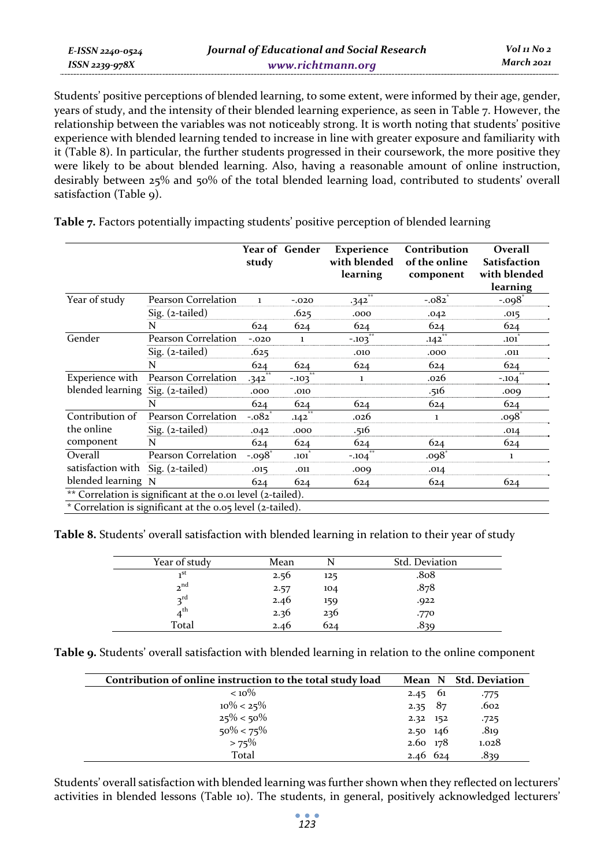| E-ISSN 2240-0524 | Journal of Educational and Social Research | Vol 11 No 2 |
|------------------|--------------------------------------------|-------------|
| ISSN 2239-978X   | www.richtmann.org                          | March 2021  |

Students' positive perceptions of blended learning, to some extent, were informed by their age, gender, years of study, and the intensity of their blended learning experience, as seen in Table 7. However, the relationship between the variables was not noticeably strong. It is worth noting that students' positive experience with blended learning tended to increase in line with greater exposure and familiarity with it (Table 8). In particular, the further students progressed in their coursework, the more positive they were likely to be about blended learning. Also, having a reasonable amount of online instruction, desirably between 25% and 50% of the total blended learning load, contributed to students' overall satisfaction (Table 9).

|                                  |                                                             | study                | <b>Year of Gender</b> | <b>Experience</b><br>with blended<br>learning | Contribution<br>of the online<br>component | Overall<br>Satisfaction<br>with blended<br>learning |
|----------------------------------|-------------------------------------------------------------|----------------------|-----------------------|-----------------------------------------------|--------------------------------------------|-----------------------------------------------------|
| Year of study                    | Pearson Correlation                                         | 1                    | $-.020$               | $***$<br>$-342$                               | $-.082$ <sup>*</sup>                       | $-.098$ <sup>*</sup>                                |
|                                  | $Sig.$ (2-tailed)                                           |                      | .625                  | .000                                          | .042                                       | .015                                                |
|                                  | N                                                           | 624                  | 624                   | 624                                           | 624                                        | 624                                                 |
| Gender                           | Pearson Correlation                                         | $-.020$              |                       | $\overline{1}$<br>$-.103$                     | .142                                       | .101                                                |
|                                  | Sig. (2-tailed)                                             | .625                 |                       | .010                                          | .000                                       | .011                                                |
|                                  | N                                                           | 624                  | 624                   | 624                                           | 624                                        | 624                                                 |
| Experience with                  | Pearson Correlation                                         | $-342$               | $-103$                | $\mathbf{1}$                                  | .026                                       | $-.104$                                             |
| blended learning Sig. (2-tailed) |                                                             | .000                 | .010                  |                                               | .516                                       | ,000                                                |
|                                  | N                                                           | 624                  | 624                   | 624                                           | 624                                        | 624                                                 |
| Contribution of                  | Pearson Correlation                                         | $-.082$              | $**$<br>.142          | .026                                          | 1                                          | $.098^{\circ}$                                      |
| the online                       | $Sig.$ (2-tailed)                                           | .042                 | .000                  | .516                                          |                                            | .014                                                |
| component                        | N                                                           | 624                  | 624                   | 624                                           | 624                                        | 624                                                 |
| Overall                          | Pearson Correlation                                         | $-.098$ <sup>*</sup> | .101                  | $-104$                                        | .098                                       | $\mathbf{1}$                                        |
| satisfaction with                | Sig. (2-tailed)                                             | .015                 | .011                  | .009                                          | .014                                       |                                                     |
| blended learning N               |                                                             | 624                  | 624                   | 624                                           | 624                                        | 624                                                 |
|                                  | ** Correlation is significant at the 0.01 level (2-tailed). |                      |                       |                                               |                                            |                                                     |
|                                  | * Correlation is significant at the 0.05 level (2-tailed).  |                      |                       |                                               |                                            |                                                     |

**Table 7.** Factors potentially impacting students' positive perception of blended learning

**Table 8.** Students' overall satisfaction with blended learning in relation to their year of study

| Year of study   | Mean |     | Std. Deviation    |
|-----------------|------|-----|-------------------|
| $\mathbf{F}$    | 2.56 | 125 | .8 <sub>0</sub> 8 |
| 2 <sup>nd</sup> | 2.57 | 104 | .878              |
| $2^{\text{rd}}$ | 2.46 | 159 | .922              |
| $4^{\text{th}}$ | 2.36 | 236 | .770              |
| Total           | 2.46 | 624 | .839              |

**Table 9.** Students' overall satisfaction with blended learning in relation to the online component

| Contribution of online instruction to the total study load |                  |      | Mean N Std. Deviation |
|------------------------------------------------------------|------------------|------|-----------------------|
| $< 10\%$                                                   | 2.45             | - 61 | .775                  |
| $10\% < 25\%$                                              | 2.35 $87$        |      | .602                  |
| $25\% < 50\%$                                              | 2.32 152         |      | .725                  |
| $50\% < 75\%$                                              | $2.50 \quad 146$ |      | .819                  |
| $>75\%$                                                    | 2.60 178         |      | 1.028                 |
| Total                                                      | $2.46$ 624       |      | .839                  |

Students' overall satisfaction with blended learning was further shown when they reflected on lecturers' activities in blended lessons (Table 10). The students, in general, positively acknowledged lecturers'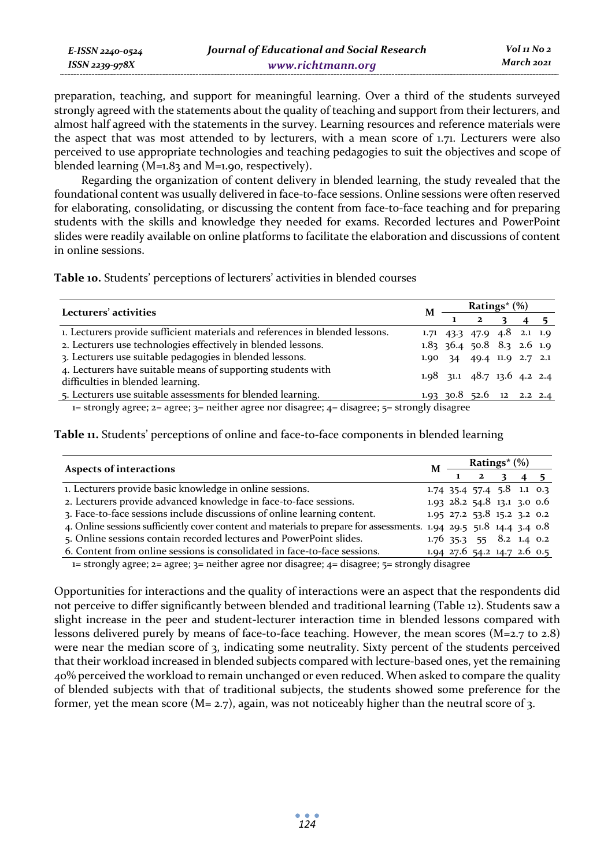| E-ISSN 2240-0524 | Journal of Educational and Social Research | Vol 11 No 2 |
|------------------|--------------------------------------------|-------------|
| ISSN 2239-978X   | www.richtmann.org                          | March 2021  |

preparation, teaching, and support for meaningful learning. Over a third of the students surveyed strongly agreed with the statements about the quality of teaching and support from their lecturers, and almost half agreed with the statements in the survey. Learning resources and reference materials were the aspect that was most attended to by lecturers, with a mean score of 1.71. Lecturers were also perceived to use appropriate technologies and teaching pedagogies to suit the objectives and scope of blended learning (M=1.83 and M=1.90, respectively).

Regarding the organization of content delivery in blended learning, the study revealed that the foundational content was usually delivered in face-to-face sessions. Online sessions were often reserved for elaborating, consolidating, or discussing the content from face-to-face teaching and for preparing students with the skills and knowledge they needed for exams. Recorded lectures and PowerPoint slides were readily available on online platforms to facilitate the elaboration and discussions of content in online sessions.

**Table 10.** Students' perceptions of lecturers' activities in blended courses

| Lecturers' activities                                                                             |  | Ratings* (%)                  |             |  |  |  |
|---------------------------------------------------------------------------------------------------|--|-------------------------------|-------------|--|--|--|
|                                                                                                   |  |                               | $1 \quad 2$ |  |  |  |
| 1. Lecturers provide sufficient materials and references in blended lessons.                      |  | 1.71 43.3 47.9 4.8 2.1 1.9    |             |  |  |  |
| 2. Lecturers use technologies effectively in blended lessons.                                     |  | $1.83$ 36.4 50.8 8.3 2.6 1.9  |             |  |  |  |
| 3. Lecturers use suitable pedagogies in blended lessons.                                          |  | 1.90 34 49.4 11.9 2.7 2.1     |             |  |  |  |
| 4. Lecturers have suitable means of supporting students with<br>difficulties in blended learning. |  | $1.98$ 31.1 48.7 13.6 4.2 2.4 |             |  |  |  |
| 5. Lecturers use suitable assessments for blended learning.                                       |  | 1.93 30.8 52.6 12 2.2 2.4     |             |  |  |  |

1= strongly agree; 2= agree; 3= neither agree nor disagree; 4= disagree; 5= strongly disagree

**Table 11.** Students' perceptions of online and face-to-face components in blended learning

| Aspects of interactions                                                                                             |  | Ratings* $(\%)$ |                                         |  |  |  |
|---------------------------------------------------------------------------------------------------------------------|--|-----------------|-----------------------------------------|--|--|--|
|                                                                                                                     |  |                 | $\mathbf{2}$                            |  |  |  |
| 1. Lecturers provide basic knowledge in online sessions.                                                            |  |                 | $1.74$ 35.4 57.4 5.8 1.1 0.3            |  |  |  |
| 2. Lecturers provide advanced knowledge in face-to-face sessions.                                                   |  |                 | $1.93$ $28.2$ $54.8$ $13.1$ $3.0$ $0.6$ |  |  |  |
| 3. Face-to-face sessions include discussions of online learning content.                                            |  |                 | $1.95$ 27.2 53.8 15.2 3.2 0.2           |  |  |  |
| 4. Online sessions sufficiently cover content and materials to prepare for assessments. 1.94 29.5 51.8 14.4 3.4 0.8 |  |                 |                                         |  |  |  |
| 5. Online sessions contain recorded lectures and PowerPoint slides.                                                 |  |                 | $1.76$ 35.3 55 8.2 1.4 0.2              |  |  |  |
| 6. Content from online sessions is consolidated in face-to-face sessions.                                           |  |                 | 1.94 27.6 54.2 14.7 2.6 0.5             |  |  |  |

1= strongly agree; 2= agree; 3= neither agree nor disagree; 4= disagree; 5= strongly disagree

Opportunities for interactions and the quality of interactions were an aspect that the respondents did not perceive to differ significantly between blended and traditional learning (Table 12). Students saw a slight increase in the peer and student-lecturer interaction time in blended lessons compared with lessons delivered purely by means of face-to-face teaching. However, the mean scores (M=2.7 to 2.8) were near the median score of 3, indicating some neutrality. Sixty percent of the students perceived that their workload increased in blended subjects compared with lecture-based ones, yet the remaining 40% perceived the workload to remain unchanged or even reduced. When asked to compare the quality of blended subjects with that of traditional subjects, the students showed some preference for the former, yet the mean score ( $M = 2.7$ ), again, was not noticeably higher than the neutral score of 3.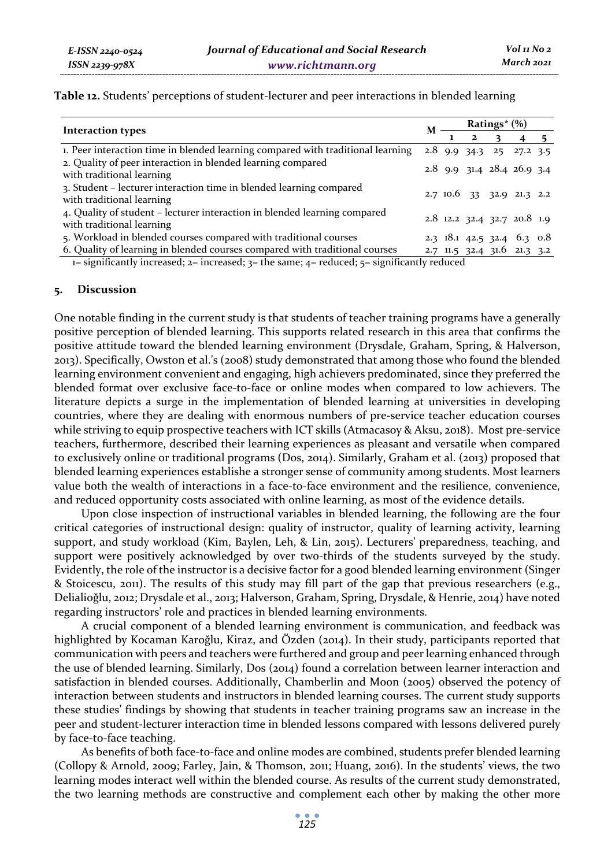| Interaction types                                                                                      |  | <b>Ratings</b> * (%) |                     |  |                              |  |
|--------------------------------------------------------------------------------------------------------|--|----------------------|---------------------|--|------------------------------|--|
|                                                                                                        |  |                      | $1 \quad 2 \quad 3$ |  |                              |  |
| 1. Peer interaction time in blended learning compared with traditional learning                        |  |                      |                     |  | $2.8$ 9.9 34.3 25 27.2 3.5   |  |
| 2. Quality of peer interaction in blended learning compared<br>with traditional learning               |  |                      |                     |  | 2.8 9.9 31.4 28.4 26.9 3.4   |  |
| 3. Student – lecturer interaction time in blended learning compared<br>with traditional learning       |  |                      |                     |  | $2.710.6$ 33 32.9 21.3 2.2   |  |
| 4. Quality of student – lecturer interaction in blended learning compared<br>with traditional learning |  |                      |                     |  | 2.8 12.2 32.4 32.7 20.8 1.9  |  |
| 5. Workload in blended courses compared with traditional courses                                       |  |                      |                     |  | 2.3 $18.1$ 42.5 32.4 6.3 0.8 |  |
| 6. Quality of learning in blended courses compared with traditional courses                            |  |                      |                     |  | 2.7 11.5 32.4 31.6 21.3 3.2  |  |

**Table 12.** Students' perceptions of student-lecturer and peer interactions in blended learning

1= significantly increased; 2= increased; 3= the same; 4= reduced;  $\overline{5}$ = significantly reduced

# **5. Discussion**

One notable finding in the current study is that students of teacher training programs have a generally positive perception of blended learning. This supports related research in this area that confirms the positive attitude toward the blended learning environment (Drysdale, Graham, Spring, & Halverson, 2013). Specifically, Owston et al.'s (2008) study demonstrated that among those who found the blended learning environment convenient and engaging, high achievers predominated, since they preferred the blended format over exclusive face-to-face or online modes when compared to low achievers. The literature depicts a surge in the implementation of blended learning at universities in developing countries, where they are dealing with enormous numbers of pre-service teacher education courses while striving to equip prospective teachers with ICT skills (Atmacasoy & Aksu, 2018). Most pre-service teachers, furthermore, described their learning experiences as pleasant and versatile when compared to exclusively online or traditional programs (Dos, 2014). Similarly, Graham et al. (2013) proposed that blended learning experiences establishe a stronger sense of community among students. Most learners value both the wealth of interactions in a face-to-face environment and the resilience, convenience, and reduced opportunity costs associated with online learning, as most of the evidence details.

Upon close inspection of instructional variables in blended learning, the following are the four critical categories of instructional design: quality of instructor, quality of learning activity, learning support, and study workload (Kim, Baylen, Leh, & Lin, 2015). Lecturers' preparedness, teaching, and support were positively acknowledged by over two-thirds of the students surveyed by the study. Evidently, the role of the instructor is a decisive factor for a good blended learning environment (Singer & Stoicescu, 2011). The results of this study may fill part of the gap that previous researchers (e.g., Delialioǧlu, 2012; Drysdale et al., 2013; Halverson, Graham, Spring, Drysdale, & Henrie, 2014) have noted regarding instructors' role and practices in blended learning environments.

A crucial component of a blended learning environment is communication, and feedback was highlighted by Kocaman Karoğlu, Kiraz, and Özden (2014). In their study, participants reported that communication with peers and teachers were furthered and group and peer learning enhanced through the use of blended learning. Similarly, Dos (2014) found a correlation between learner interaction and satisfaction in blended courses. Additionally, Chamberlin and Moon (2005) observed the potency of interaction between students and instructors in blended learning courses. The current study supports these studies' findings by showing that students in teacher training programs saw an increase in the peer and student-lecturer interaction time in blended lessons compared with lessons delivered purely by face-to-face teaching.

As benefits of both face-to-face and online modes are combined, students prefer blended learning (Collopy & Arnold, 2009; Farley, Jain, & Thomson, 2011; Huang, 2016). In the students' views, the two learning modes interact well within the blended course. As results of the current study demonstrated, the two learning methods are constructive and complement each other by making the other more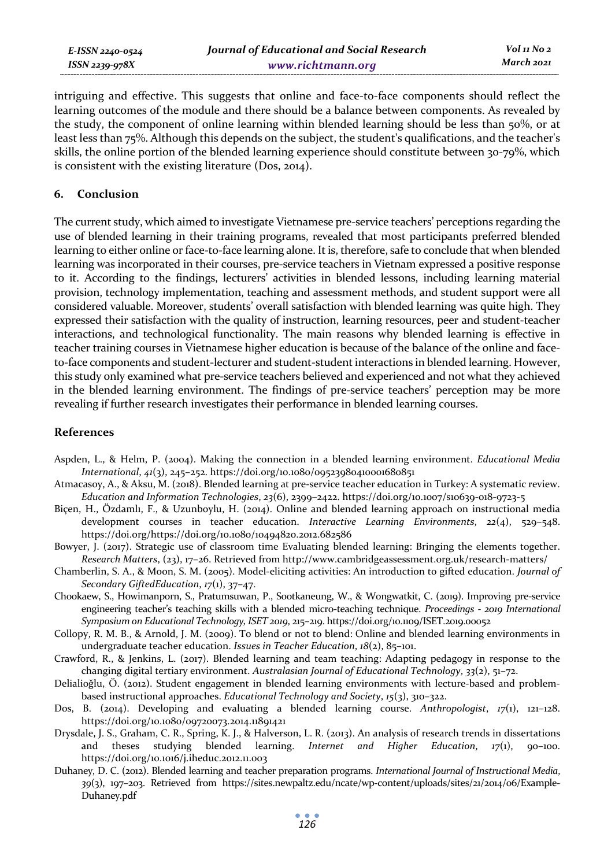*E-ISSN 2240-0524 ISSN 2239-978X*

intriguing and effective. This suggests that online and face-to-face components should reflect the learning outcomes of the module and there should be a balance between components. As revealed by the study, the component of online learning within blended learning should be less than  $50\%$ , or at least less than 75%. Although this depends on the subject, the student's qualifications, and the teacher's skills, the online portion of the blended learning experience should constitute between 30-79%, which is consistent with the existing literature (Dos, 2014).

#### **6. Conclusion**

The current study, which aimed to investigate Vietnamese pre-service teachers' perceptions regarding the use of blended learning in their training programs, revealed that most participants preferred blended learning to either online or face-to-face learning alone. It is, therefore, safe to conclude that when blended learning was incorporated in their courses, pre-service teachers in Vietnam expressed a positive response to it. According to the findings, lecturers' activities in blended lessons, including learning material provision, technology implementation, teaching and assessment methods, and student support were all considered valuable. Moreover, students' overall satisfaction with blended learning was quite high. They expressed their satisfaction with the quality of instruction, learning resources, peer and student-teacher interactions, and technological functionality. The main reasons why blended learning is effective in teacher training courses in Vietnamese higher education is because of the balance of the online and faceto-face components and student-lecturer and student-student interactions in blended learning. However, this study only examined what pre-service teachers believed and experienced and not what they achieved in the blended learning environment. The findings of pre-service teachers' perception may be more revealing if further research investigates their performance in blended learning courses.

#### **References**

- Aspden, L., & Helm, P. (2004). Making the connection in a blended learning environment. *Educational Media International*, *41*(3), 245–252. https://doi.org/10.1080/09523980410001680851
- Atmacasoy, A., & Aksu, M. (2018). Blended learning at pre-service teacher education in Turkey: A systematic review. *Education and Information Technologies*, *23*(6), 2399–2422. https://doi.org/10.1007/s10639-018-9723-5
- Biçen, H., Özdamlı, F., & Uzunboylu, H. (2014). Online and blended learning approach on instructional media development courses in teacher education. *Interactive Learning Environments*, *22*(4), 529–548. https://doi.org/https://doi.org/10.1080/10494820.2012.682586
- Bowyer, J. (2017). Strategic use of classroom time Evaluating blended learning: Bringing the elements together. *Research Matters*, (23), 17–26. Retrieved from http://www.cambridgeassessment.org.uk/research-matters/
- Chamberlin, S. A., & Moon, S. M. (2005). Model-eliciting activities: An introduction to gifted education. *Journal of Secondary GiftedEducation*, *17*(1), 37–47.
- Chookaew, S., Howimanporn, S., Pratumsuwan, P., Sootkaneung, W., & Wongwatkit, C. (2019). Improving pre-service engineering teacher's teaching skills with a blended micro-teaching technique. *Proceedings - 2019 International Symposium on Educational Technology, ISET 2019*, 215–219. https://doi.org/10.1109/ISET.2019.00052
- Collopy, R. M. B., & Arnold, J. M. (2009). To blend or not to blend: Online and blended learning environments in undergraduate teacher education. *Issues in Teacher Education*, *18*(2), 85–101.
- Crawford, R., & Jenkins, L. (2017). Blended learning and team teaching: Adapting pedagogy in response to the changing digital tertiary environment. *Australasian Journal of Educational Technology*, *33*(2), 51–72.
- Delialioǧlu, Ö. (2012). Student engagement in blended learning environments with lecture-based and problembased instructional approaches. *Educational Technology and Society*, *15*(3), 310–322.
- Dos, B. (2014). Developing and evaluating a blended learning course. *Anthropologist*, *17*(1), 121–128. https://doi.org/10.1080/09720073.2014.11891421
- Drysdale, J. S., Graham, C. R., Spring, K. J., & Halverson, L. R. (2013). An analysis of research trends in dissertations and theses studying blended learning. *Internet and Higher Education*, *17*(1), 90–100. https://doi.org/10.1016/j.iheduc.2012.11.003
- Duhaney, D. C. (2012). Blended learning and teacher preparation programs. *International Journal of Instructional Media*, *39*(3), 197–203. Retrieved from https://sites.newpaltz.edu/ncate/wp-content/uploads/sites/21/2014/06/Example-Duhaney.pdf